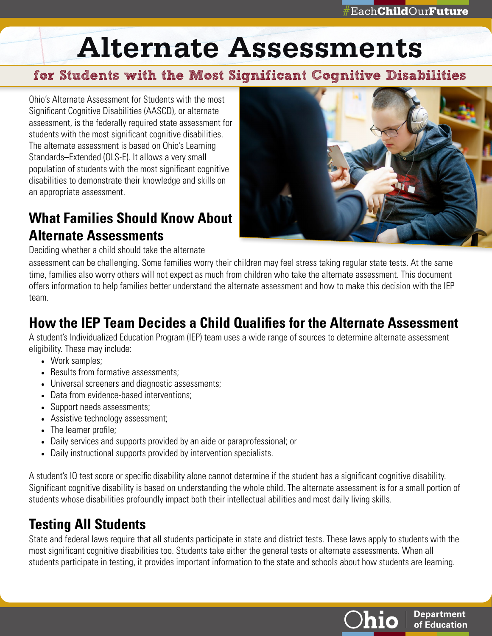# **Alternate Assessments**

#### for Students with the Most Significant Cognitive Disabilities

Ohio's Alternate Assessment for Students with the most Significant Cognitive Disabilities (AASCD), or alternate assessment, is the federally required state assessment for students with the most significant cognitive disabilities. The alternate assessment is based on Ohio's Learning Standards–Extended (OLS-E). It allows a very small population of students with the most significant cognitive disabilities to demonstrate their knowledge and skills on an appropriate assessment.

## **What Families Should Know About Alternate Assessments**



Deciding whether a child should take the alternate

assessment can be challenging. Some families worry their children may feel stress taking regular state tests. At the same time, families also worry others will not expect as much from children who take the alternate assessment. This document offers information to help families better understand the alternate assessment and how to make this decision with the IEP team.

### **How the IEP Team Decides a Child Qualifies for the Alternate Assessment**

A student's Individualized Education Program (IEP) team uses a wide range of sources to determine alternate assessment eligibility. These may include:

- Work samples;
- Results from formative assessments:
- Universal screeners and diagnostic assessments;
- Data from evidence-based interventions;
- Support needs assessments;
- Assistive technology assessment;
- The learner profile:
- Daily services and supports provided by an aide or paraprofessional; or
- Daily instructional supports provided by intervention specialists.

A student's IQ test score or specific disability alone cannot determine if the student has a significant cognitive disability. Significant cognitive disability is based on understanding the whole child. The alternate assessment is for a small portion of students whose disabilities profoundly impact both their intellectual abilities and most daily living skills.

### **Testing All Students**

State and federal laws require that all students participate in state and district tests. These laws apply to students with the most significant cognitive disabilities too. Students take either the general tests or alternate assessments. When all students participate in testing, it provides important information to the state and schools about how students are learning.